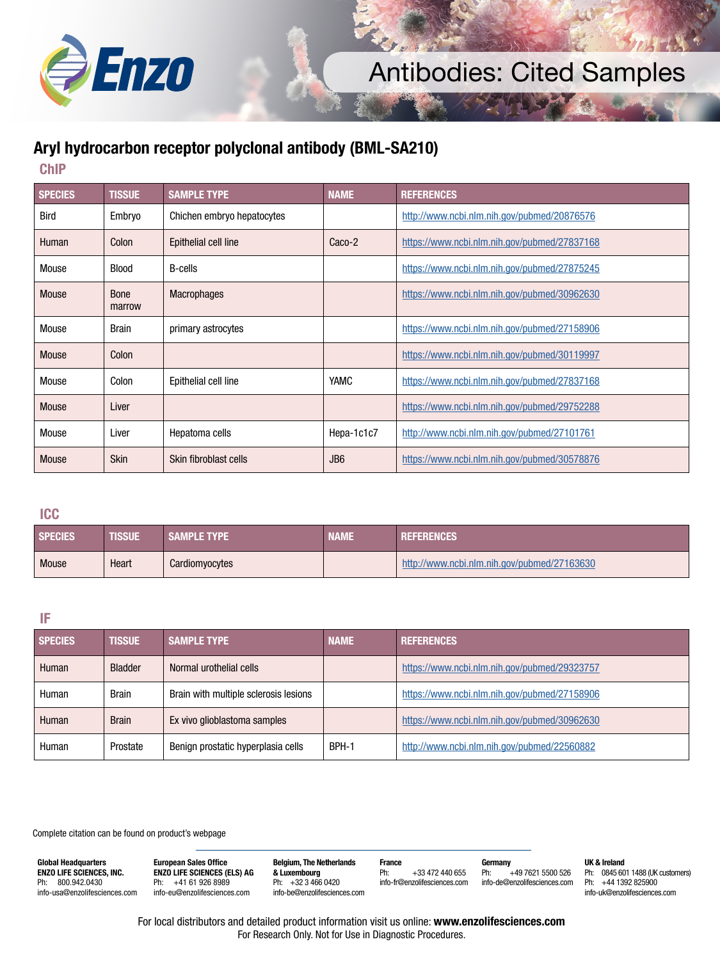

## Antibodies: Cited Samples

## **Aryl hydrocarbon receptor polyclonal antibody (BML-SA210)**

**ChIP**

| <b>SPECIES</b> | <b>TISSUE</b>         | <b>SAMPLE TYPE</b>         | <b>NAME</b>     | <b>REFERENCES</b>                            |
|----------------|-----------------------|----------------------------|-----------------|----------------------------------------------|
| Bird           | Embryo                | Chichen embryo hepatocytes |                 | http://www.ncbi.nlm.nih.gov/pubmed/20876576  |
| Human          | Colon                 | Epithelial cell line       | Caco-2          | https://www.ncbi.nlm.nih.gov/pubmed/27837168 |
| Mouse          | <b>Blood</b>          | <b>B-cells</b>             |                 | https://www.ncbi.nlm.nih.gov/pubmed/27875245 |
| Mouse          | <b>Bone</b><br>marrow | <b>Macrophages</b>         |                 | https://www.ncbi.nlm.nih.gov/pubmed/30962630 |
| Mouse          | <b>Brain</b>          | primary astrocytes         |                 | https://www.ncbi.nlm.nih.gov/pubmed/27158906 |
| Mouse          | Colon                 |                            |                 | https://www.ncbi.nlm.nih.gov/pubmed/30119997 |
| Mouse          | Colon                 | Epithelial cell line       | <b>YAMC</b>     | https://www.ncbi.nlm.nih.gov/pubmed/27837168 |
| Mouse          | Liver                 |                            |                 | https://www.ncbi.nlm.nih.gov/pubmed/29752288 |
| Mouse          | Liver                 | Hepatoma cells             | Hepa-1c1c7      | http://www.ncbi.nlm.nih.gov/pubmed/27101761  |
| Mouse          | <b>Skin</b>           | Skin fibroblast cells      | JB <sub>6</sub> | https://www.ncbi.nlm.nih.gov/pubmed/30578876 |

**ICC**

| <b>SPECIES</b> | <b>TISSUE</b> | <b>SAMPLE TYPE</b> | NAME | <b>REFERENCES</b>                           |
|----------------|---------------|--------------------|------|---------------------------------------------|
| <b>Mouse</b>   | Heart         | Cardiomyocytes     |      | http://www.ncbi.nlm.nih.gov/pubmed/27163630 |

## **IF**

| <b>SPECIES</b> | <b>TISSUE</b>  | <b>SAMPLE TYPE</b>                    | <b>NAME</b> | <b>REFERENCES</b>                            |
|----------------|----------------|---------------------------------------|-------------|----------------------------------------------|
| Human          | <b>Bladder</b> | Normal urothelial cells               |             | https://www.ncbi.nlm.nih.gov/pubmed/29323757 |
| Human          | <b>Brain</b>   | Brain with multiple sclerosis lesions |             | https://www.ncbi.nlm.nih.gov/pubmed/27158906 |
| Human          | <b>Brain</b>   | Ex vivo glioblastoma samples          |             | https://www.ncbi.nlm.nih.gov/pubmed/30962630 |
| Human          | Prostate       | Benign prostatic hyperplasia cells    | BPH-1       | http://www.ncbi.nlm.nih.gov/pubmed/22560882  |

Complete citation can be found on product's webpage

**Global Headquarters ENZO LIFE SCIENCES, INC.** Ph: 800.942.0430 info-usa@enzolifesciences.com **European Sales Office ENZO LIFE SCIENCES (ELS) AG** Ph: +41 61 926 8989 info-eu@enzolifesciences.com

**Belgium, The Netherlands & Luxembourg** Ph: +32 3 466 0420 info-be@enzolifesciences.com **France** Ph: +33 472 440 655 info-fr@enzolifesciences.com **Germany** Ph: +49 7621 5500 526 info-de@enzolifesciences.com **UK & Ireland** Ph: 0845 601 1488 (UK customers) Ph: +44 1392 825900 info-uk@enzolifesciences.com

For local distributors and detailed product information visit us online: **www.enzolifesciences.com** For Research Only. Not for Use in Diagnostic Procedures.